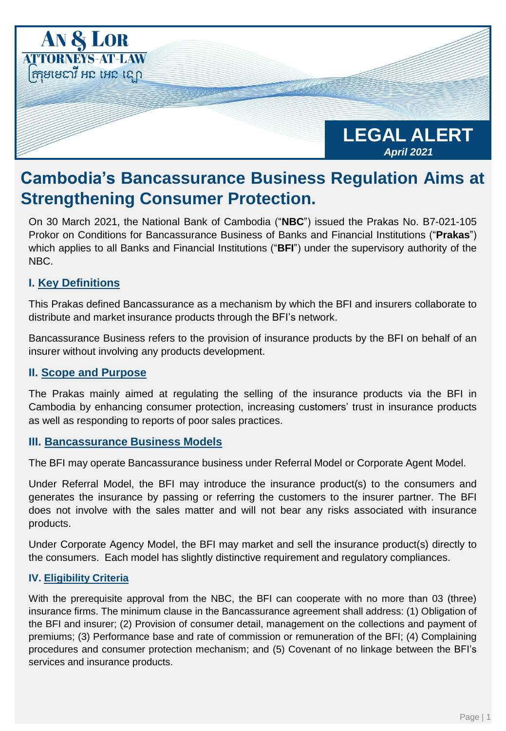

# **Cambodia's Bancassurance Business Regulation Aims at Strengthening Consumer Protection.**

On 30 March 2021, the National Bank of Cambodia ("**NBC**") issued the Prakas No. B7-021-105 Prokor on Conditions for Bancassurance Business of Banks and Financial Institutions ("**Prakas**") which applies to all Banks and Financial Institutions ("**BFI**") under the supervisory authority of the NBC.

## **I. Key Definitions**

This Prakas defined Bancassurance as a mechanism by which the BFI and insurers collaborate to distribute and market insurance products through the BFI's network.

Bancassurance Business refers to the provision of insurance products by the BFI on behalf of an insurer without involving any products development.

#### **II. Scope and Purpose**

The Prakas mainly aimed at regulating the selling of the insurance products via the BFI in Cambodia by enhancing consumer protection, increasing customers' trust in insurance products as well as responding to reports of poor sales practices.

#### **III. Bancassurance Business Models**

The BFI may operate Bancassurance business under Referral Model or Corporate Agent Model.

Under Referral Model, the BFI may introduce the insurance product(s) to the consumers and generates the insurance by passing or referring the customers to the insurer partner. The BFI does not involve with the sales matter and will not bear any risks associated with insurance products.

Under Corporate Agency Model, the BFI may market and sell the insurance product(s) directly to the consumers. Each model has slightly distinctive requirement and regulatory compliances.

#### **IV. Eligibility Criteria**

With the prerequisite approval from the NBC, the BFI can cooperate with no more than 03 (three) insurance firms. The minimum clause in the Bancassurance agreement shall address: (1) Obligation of the BFI and insurer; (2) Provision of consumer detail, management on the collections and payment of premiums; (3) Performance base and rate of commission or remuneration of the BFI; (4) Complaining procedures and consumer protection mechanism; and (5) Covenant of no linkage between the BFI's services and insurance products.